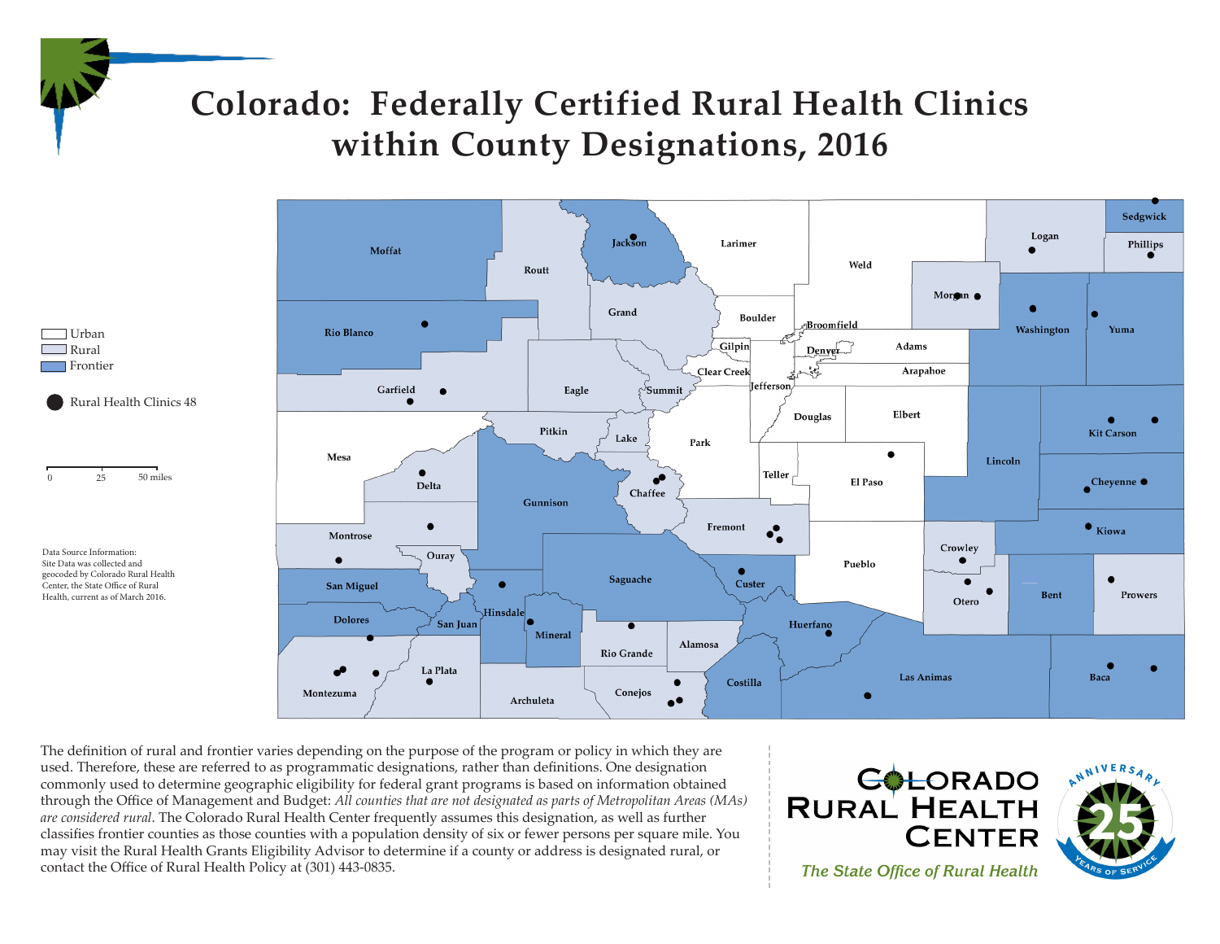

## **Colorado: Federally Certified Rural Health Clinics within County Designations, 2016**



Data Source Information: Site Data was collected and geocoded by Colorado Rural Health Center, the State Office of Rural Health, current as of March 2016.



The definition of rural and frontier varies depending on the purpose of the program or policy in which they are used. Therefore, these are referred to as programmatic designations, rather than definitions. One designation commonly used to determine geographic eligibility for federal grant programs is based on information obtained through the Office of Management and Budget: *All counties that are not designated as parts of Metropolitan Areas (MAs) are considered rural*. The Colorado Rural Health Center frequently assumes this designation, as well as further classifies frontier counties as those counties with a population density of six or fewer persons per square mile. You may visit the Rural Health Grants Eligibility Advisor to determine if a county or address is designated rural, or contact the Office of Rural Health Policy at (301) 443-0835.